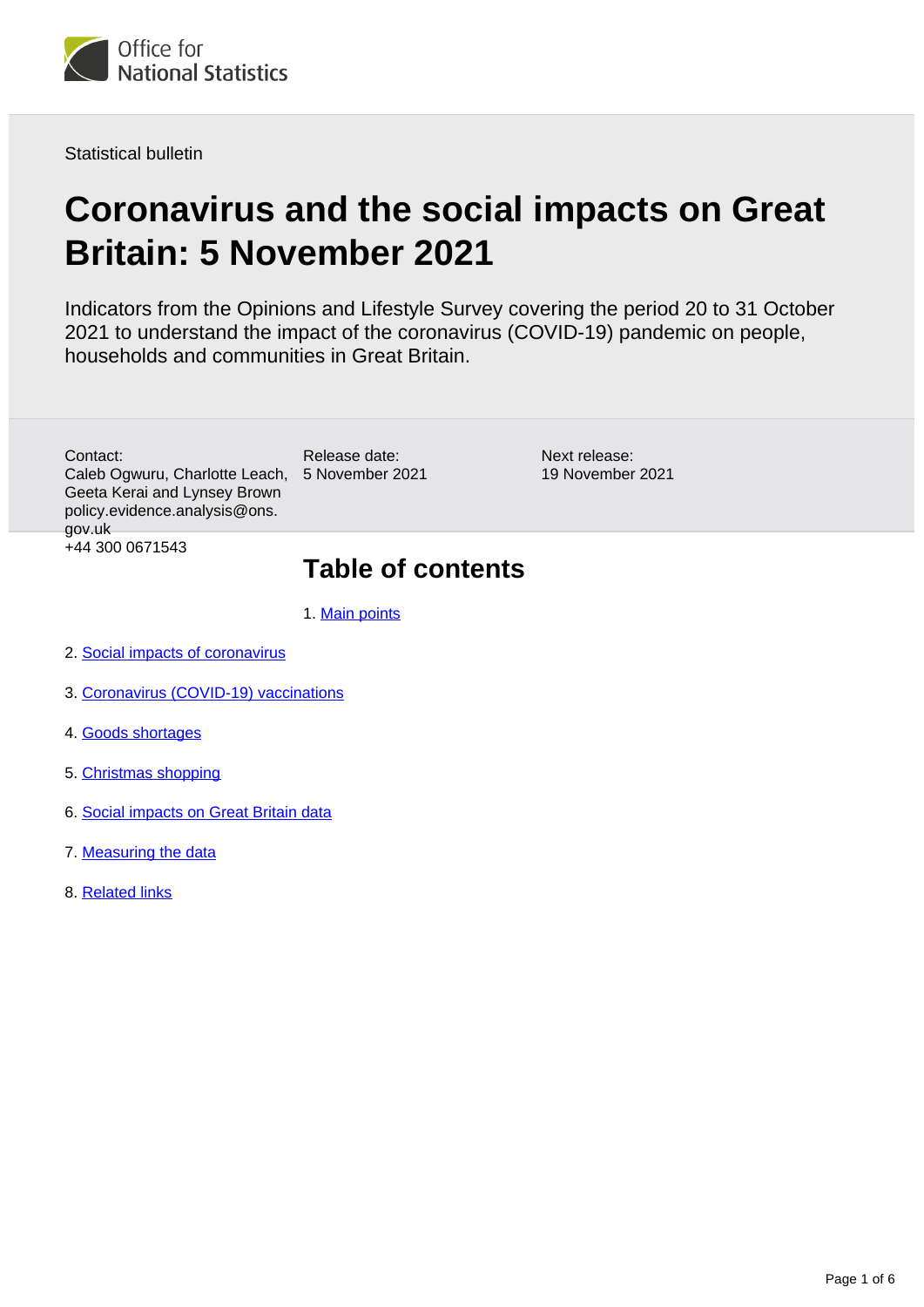

Statistical bulletin

# **Coronavirus and the social impacts on Great Britain: 5 November 2021**

Indicators from the Opinions and Lifestyle Survey covering the period 20 to 31 October 2021 to understand the impact of the coronavirus (COVID-19) pandemic on people, households and communities in Great Britain.

Caleb Ogwuru, Charlotte Leach, 5 November 2021 Contact: Geeta Kerai and Lynsey Brown policy.evidence.analysis@ons. gov.uk +44 300 0671543

Release date:

Next release: 19 November 2021

## **Table of contents**

- 1. [Main points](#page-1-0)
- 2. [Social impacts of coronavirus](#page-1-1)
- 3. [Coronavirus \(COVID-19\) vaccinations](#page-2-0)
- 4. [Goods shortages](#page-3-0)
- 5. [Christmas shopping](#page-4-0)
- 6. [Social impacts on Great Britain data](#page-4-1)
- 7. [Measuring the data](#page-4-2)
- 8. [Related links](#page-5-0)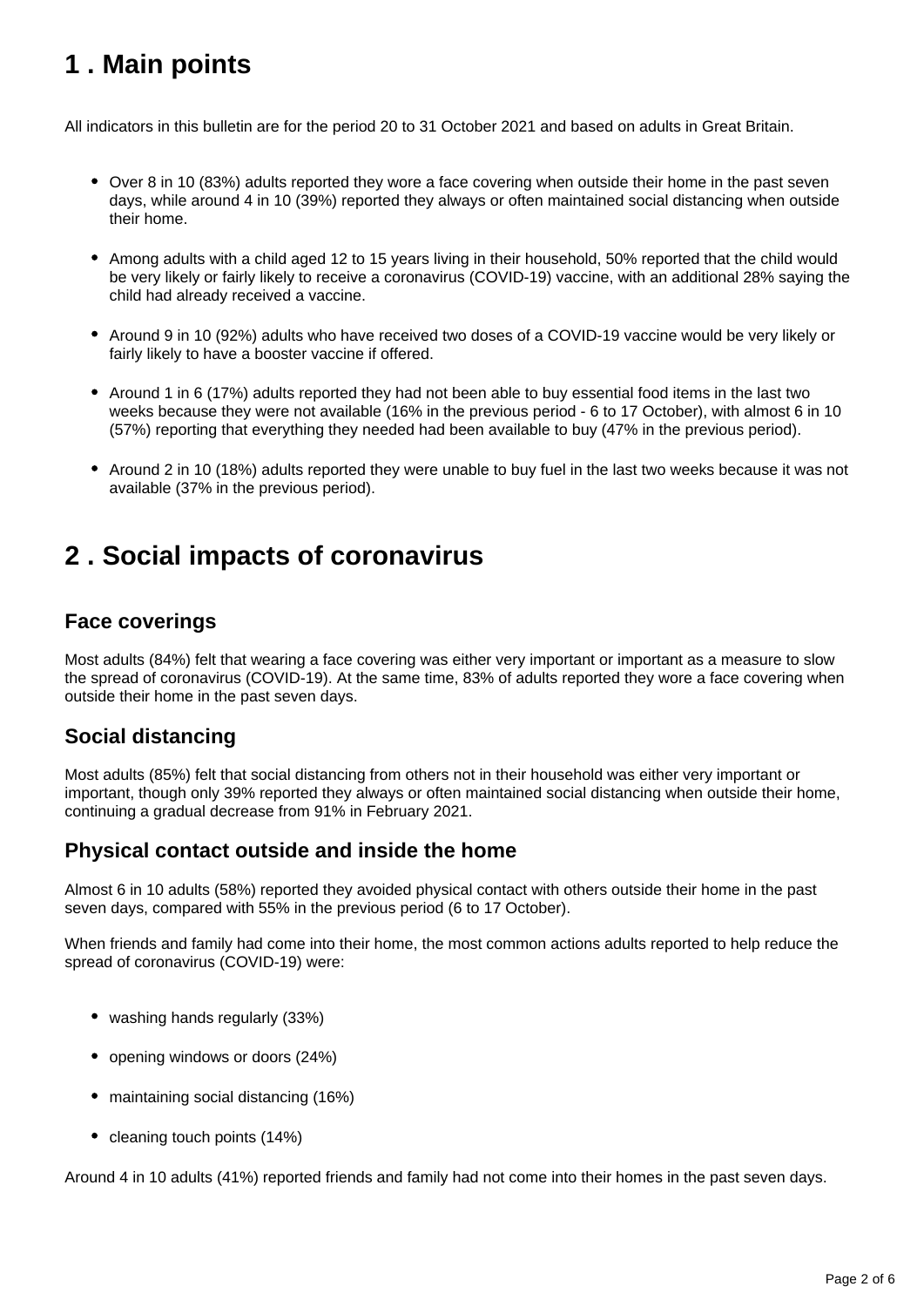## <span id="page-1-0"></span>**1 . Main points**

All indicators in this bulletin are for the period 20 to 31 October 2021 and based on adults in Great Britain.

- Over 8 in 10 (83%) adults reported they wore a face covering when outside their home in the past seven days, while around 4 in 10 (39%) reported they always or often maintained social distancing when outside their home.
- Among adults with a child aged 12 to 15 years living in their household, 50% reported that the child would be very likely or fairly likely to receive a coronavirus (COVID-19) vaccine, with an additional 28% saying the child had already received a vaccine.
- Around 9 in 10 (92%) adults who have received two doses of a COVID-19 vaccine would be very likely or fairly likely to have a booster vaccine if offered.
- Around 1 in 6 (17%) adults reported they had not been able to buy essential food items in the last two weeks because they were not available (16% in the previous period - 6 to 17 October), with almost 6 in 10 (57%) reporting that everything they needed had been available to buy (47% in the previous period).
- Around 2 in 10 (18%) adults reported they were unable to buy fuel in the last two weeks because it was not available (37% in the previous period).

## <span id="page-1-1"></span>**2 . Social impacts of coronavirus**

### **Face coverings**

Most adults (84%) felt that wearing a face covering was either very important or important as a measure to slow the spread of coronavirus (COVID-19). At the same time, 83% of adults reported they wore a face covering when outside their home in the past seven days.

### **Social distancing**

Most adults (85%) felt that social distancing from others not in their household was either very important or important, though only 39% reported they always or often maintained social distancing when outside their home, continuing a gradual decrease from 91% in February 2021.

### **Physical contact outside and inside the home**

Almost 6 in 10 adults (58%) reported they avoided physical contact with others outside their home in the past seven days, compared with 55% in the previous period (6 to 17 October).

When friends and family had come into their home, the most common actions adults reported to help reduce the spread of coronavirus (COVID-19) were:

- washing hands regularly (33%)
- opening windows or doors (24%)
- maintaining social distancing (16%)
- cleaning touch points (14%)

Around 4 in 10 adults (41%) reported friends and family had not come into their homes in the past seven days.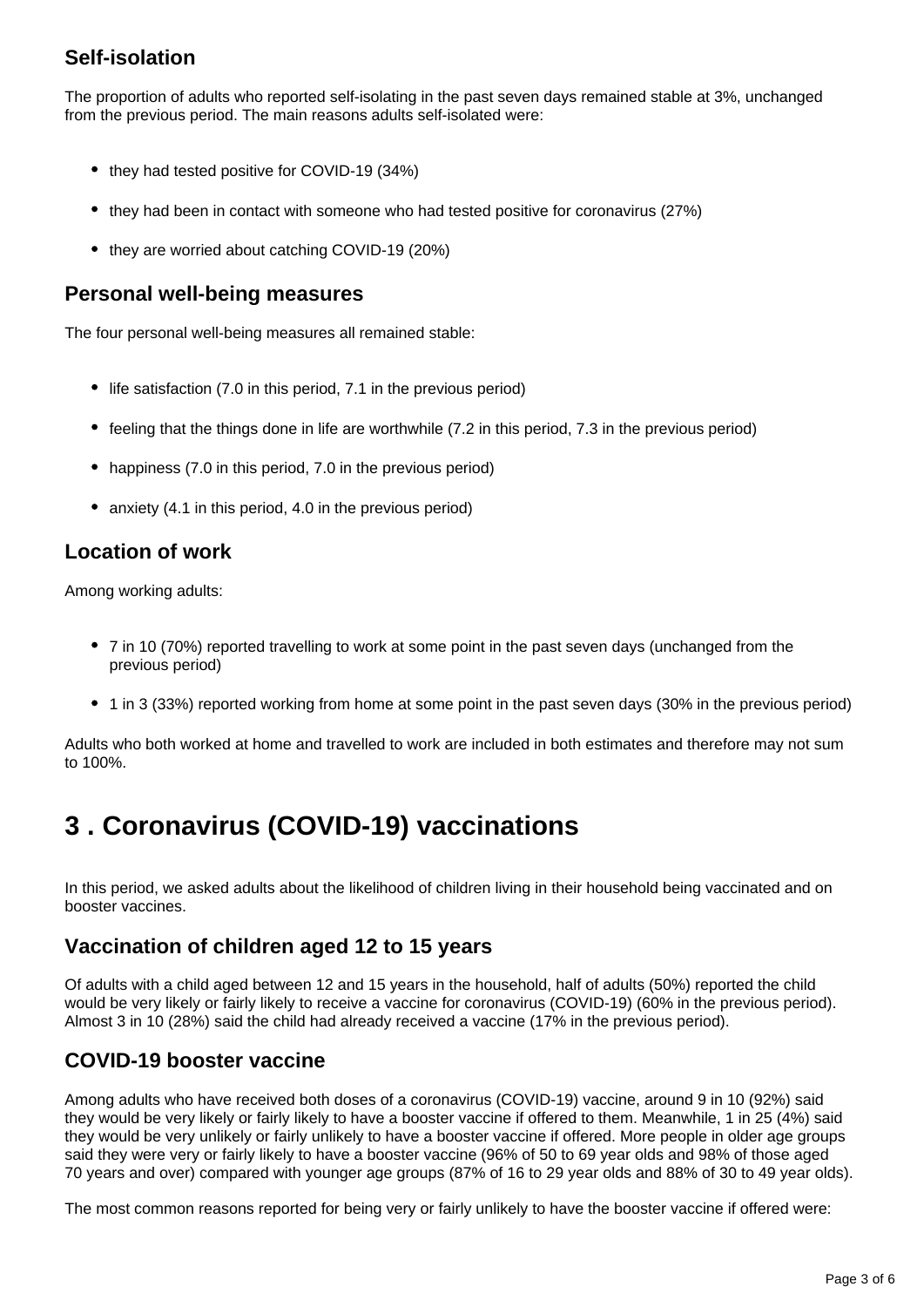### **Self-isolation**

The proportion of adults who reported self-isolating in the past seven days remained stable at 3%, unchanged from the previous period. The main reasons adults self-isolated were:

- they had tested positive for COVID-19 (34%)
- they had been in contact with someone who had tested positive for coronavirus (27%)
- they are worried about catching COVID-19 (20%)

#### **Personal well-being measures**

The four personal well-being measures all remained stable:

- life satisfaction (7.0 in this period, 7.1 in the previous period)
- feeling that the things done in life are worthwhile (7.2 in this period, 7.3 in the previous period)
- happiness (7.0 in this period, 7.0 in the previous period)
- anxiety (4.1 in this period, 4.0 in the previous period)

### **Location of work**

Among working adults:

- 7 in 10 (70%) reported travelling to work at some point in the past seven days (unchanged from the previous period)
- 1 in 3 (33%) reported working from home at some point in the past seven days (30% in the previous period)

Adults who both worked at home and travelled to work are included in both estimates and therefore may not sum to 100%.

## <span id="page-2-0"></span>**3 . Coronavirus (COVID-19) vaccinations**

In this period, we asked adults about the likelihood of children living in their household being vaccinated and on booster vaccines.

### **Vaccination of children aged 12 to 15 years**

Of adults with a child aged between 12 and 15 years in the household, half of adults (50%) reported the child would be very likely or fairly likely to receive a vaccine for coronavirus (COVID-19) (60% in the previous period). Almost 3 in 10 (28%) said the child had already received a vaccine (17% in the previous period).

### **COVID-19 booster vaccine**

Among adults who have received both doses of a coronavirus (COVID-19) vaccine, around 9 in 10 (92%) said they would be very likely or fairly likely to have a booster vaccine if offered to them. Meanwhile, 1 in 25 (4%) said they would be very unlikely or fairly unlikely to have a booster vaccine if offered. More people in older age groups said they were very or fairly likely to have a booster vaccine (96% of 50 to 69 year olds and 98% of those aged 70 years and over) compared with younger age groups (87% of 16 to 29 year olds and 88% of 30 to 49 year olds).

The most common reasons reported for being very or fairly unlikely to have the booster vaccine if offered were: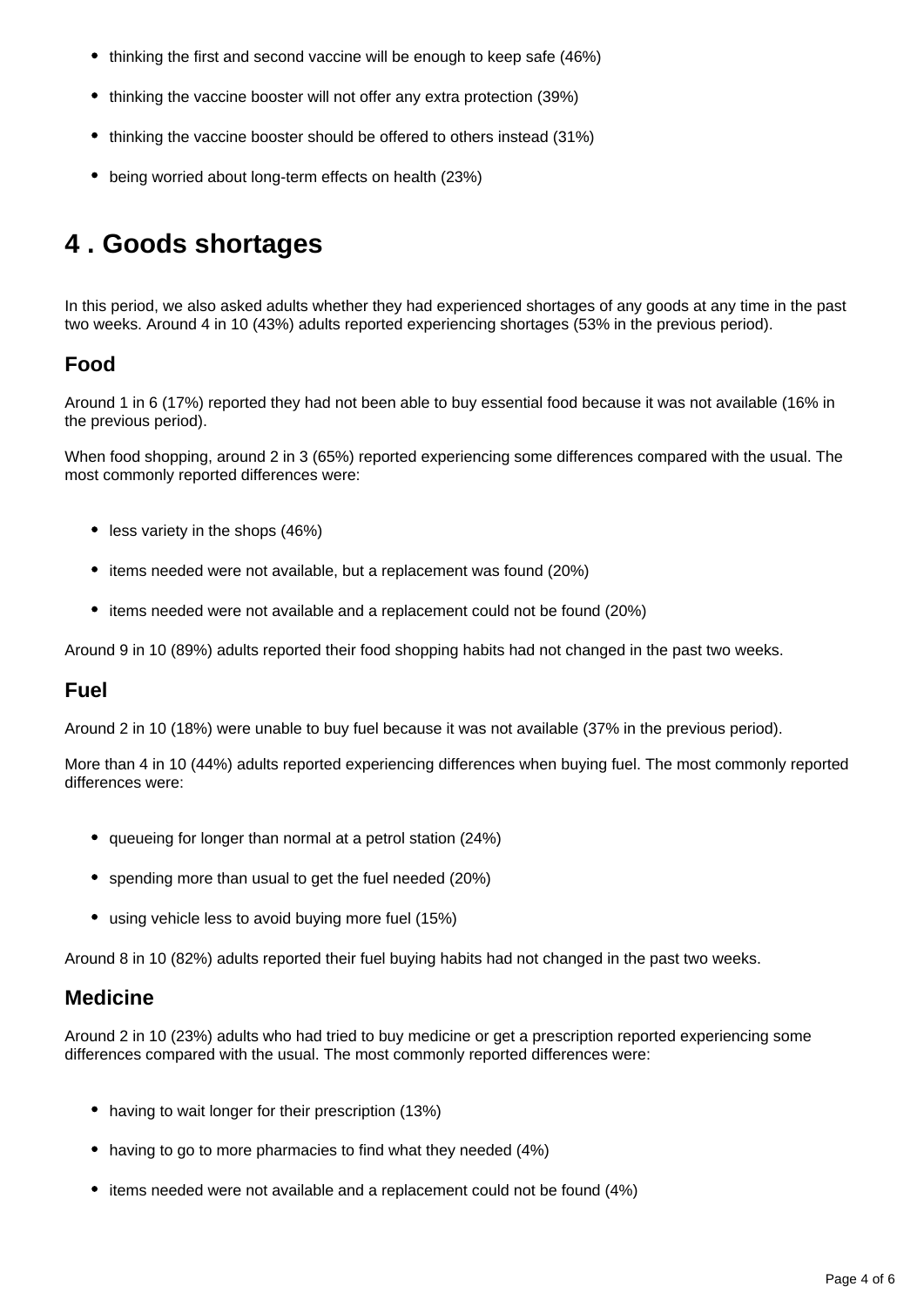- thinking the first and second vaccine will be enough to keep safe (46%)
- thinking the vaccine booster will not offer any extra protection (39%)
- thinking the vaccine booster should be offered to others instead (31%)
- being worried about long-term effects on health (23%)

## <span id="page-3-0"></span>**4 . Goods shortages**

In this period, we also asked adults whether they had experienced shortages of any goods at any time in the past two weeks. Around 4 in 10 (43%) adults reported experiencing shortages (53% in the previous period).

### **Food**

Around 1 in 6 (17%) reported they had not been able to buy essential food because it was not available (16% in the previous period).

When food shopping, around 2 in 3 (65%) reported experiencing some differences compared with the usual. The most commonly reported differences were:

- less variety in the shops (46%)
- items needed were not available, but a replacement was found (20%)
- items needed were not available and a replacement could not be found (20%)

Around 9 in 10 (89%) adults reported their food shopping habits had not changed in the past two weeks.

#### **Fuel**

Around 2 in 10 (18%) were unable to buy fuel because it was not available (37% in the previous period).

More than 4 in 10 (44%) adults reported experiencing differences when buying fuel. The most commonly reported differences were:

- queueing for longer than normal at a petrol station (24%)
- spending more than usual to get the fuel needed (20%)
- using vehicle less to avoid buying more fuel (15%)

Around 8 in 10 (82%) adults reported their fuel buying habits had not changed in the past two weeks.

#### **Medicine**

Around 2 in 10 (23%) adults who had tried to buy medicine or get a prescription reported experiencing some differences compared with the usual. The most commonly reported differences were:

- having to wait longer for their prescription (13%)
- having to go to more pharmacies to find what they needed (4%)
- items needed were not available and a replacement could not be found (4%)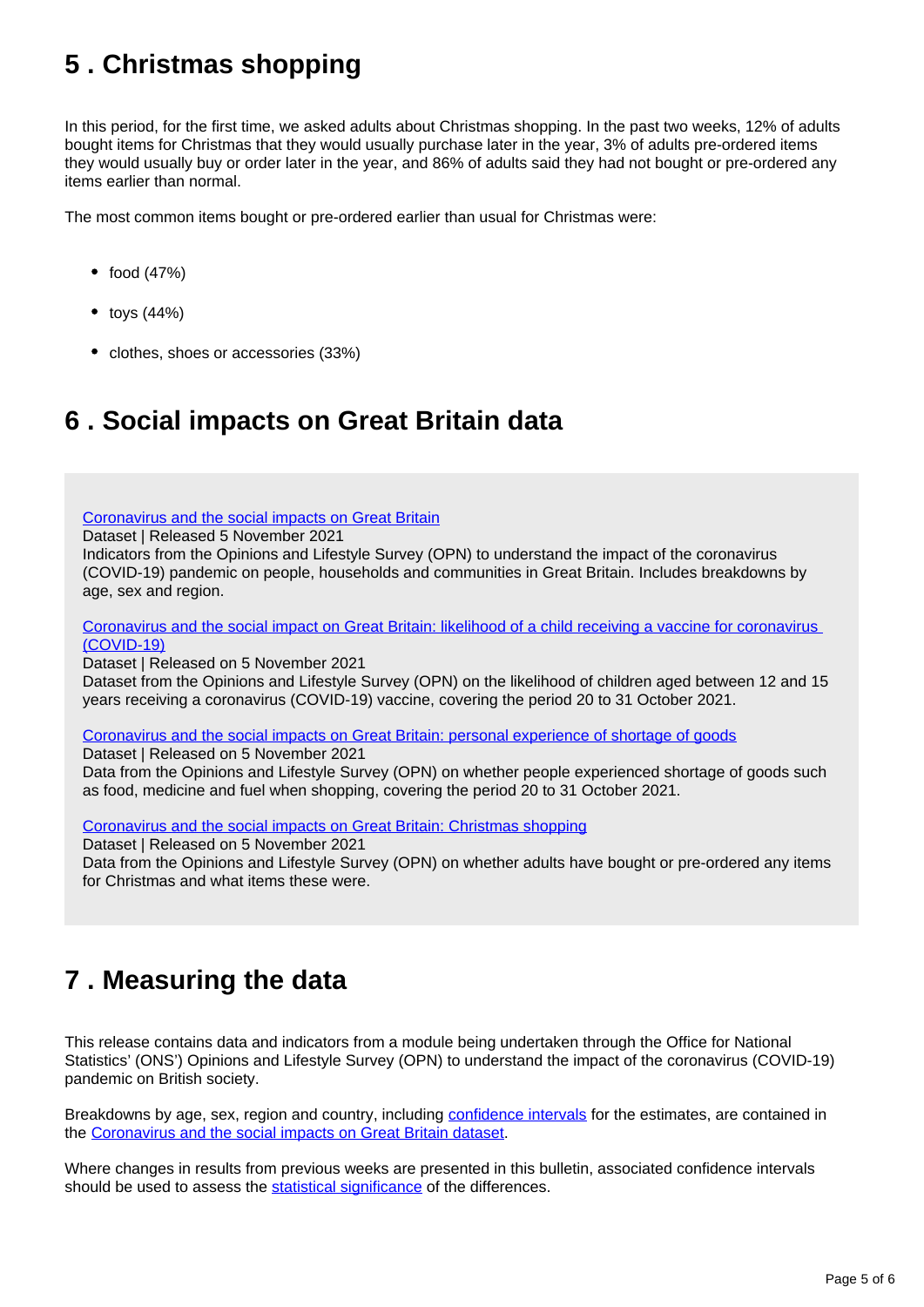## <span id="page-4-0"></span>**5 . Christmas shopping**

In this period, for the first time, we asked adults about Christmas shopping. In the past two weeks, 12% of adults bought items for Christmas that they would usually purchase later in the year, 3% of adults pre-ordered items they would usually buy or order later in the year, and 86% of adults said they had not bought or pre-ordered any items earlier than normal.

The most common items bought or pre-ordered earlier than usual for Christmas were:

- $\bullet$  food (47%)
- $\bullet$  toys (44%)
- clothes, shoes or accessories (33%)

## <span id="page-4-1"></span>**6 . Social impacts on Great Britain data**

[Coronavirus and the social impacts on Great Britain](https://www.ons.gov.uk/peoplepopulationandcommunity/healthandsocialcare/healthandwellbeing/datasets/coronavirusandthesocialimpactsongreatbritaindata)

Dataset | Released 5 November 2021

Indicators from the Opinions and Lifestyle Survey (OPN) to understand the impact of the coronavirus (COVID-19) pandemic on people, households and communities in Great Britain. Includes breakdowns by age, sex and region.

[Coronavirus and the social impact on Great Britain: likelihood of a child receiving a vaccine for coronavirus](https://www.ons.gov.uk/peoplepopulationandcommunity/healthandsocialcare/conditionsanddiseases/datasets/coronavirusandthesocialimpactsongreatbritainlikelihoodofachildreceivingavaccineforcoronaviruscovid19)  [\(COVID-19\)](https://www.ons.gov.uk/peoplepopulationandcommunity/healthandsocialcare/conditionsanddiseases/datasets/coronavirusandthesocialimpactsongreatbritainlikelihoodofachildreceivingavaccineforcoronaviruscovid19)

Dataset | Released on 5 November 2021

Dataset from the Opinions and Lifestyle Survey (OPN) on the likelihood of children aged between 12 and 15 years receiving a coronavirus (COVID-19) vaccine, covering the period 20 to 31 October 2021.

[Coronavirus and the social impacts on Great Britain: personal experience of shortage of goods](https://www.ons.gov.uk/peoplepopulationandcommunity/healthandsocialcare/conditionsanddiseases/datasets/coronavirusandthesocialimpactsongreatbritainpersonalexperienceofshortageofgoods) Dataset | Released on 5 November 2021

Data from the Opinions and Lifestyle Survey (OPN) on whether people experienced shortage of goods such as food, medicine and fuel when shopping, covering the period 20 to 31 October 2021.

[Coronavirus and the social impacts on Great Britain: Christmas shopping](https://www.ons.gov.uk/peoplepopulationandcommunity/healthandsocialcare/healthandwellbeing/datasets/coronavirusandthesocialimpactsongreatbritainchristmasshopping)

Dataset | Released on 5 November 2021 Data from the Opinions and Lifestyle Survey (OPN) on whether adults have bought or pre-ordered any items for Christmas and what items these were.

## <span id="page-4-2"></span>**7 . Measuring the data**

This release contains data and indicators from a module being undertaken through the Office for National Statistics' (ONS') Opinions and Lifestyle Survey (OPN) to understand the impact of the coronavirus (COVID-19) pandemic on British society.

Breakdowns by age, sex, region and country, including [confidence intervals](https://www.ons.gov.uk/methodology/methodologytopicsandstatisticalconcepts/uncertaintyandhowwemeasureit#confidence-interval) for the estimates, are contained in the [Coronavirus and the social impacts on Great Britain dataset.](https://www.ons.gov.uk/peoplepopulationandcommunity/healthandsocialcare/healthandwellbeing/datasets/coronavirusandthesocialimpactsongreatbritaindata)

Where changes in results from previous weeks are presented in this bulletin, associated confidence intervals should be used to assess the [statistical significance](https://www.ons.gov.uk/methodology/methodologytopicsandstatisticalconcepts/uncertaintyandhowwemeasureit#statistical-significance) of the differences.